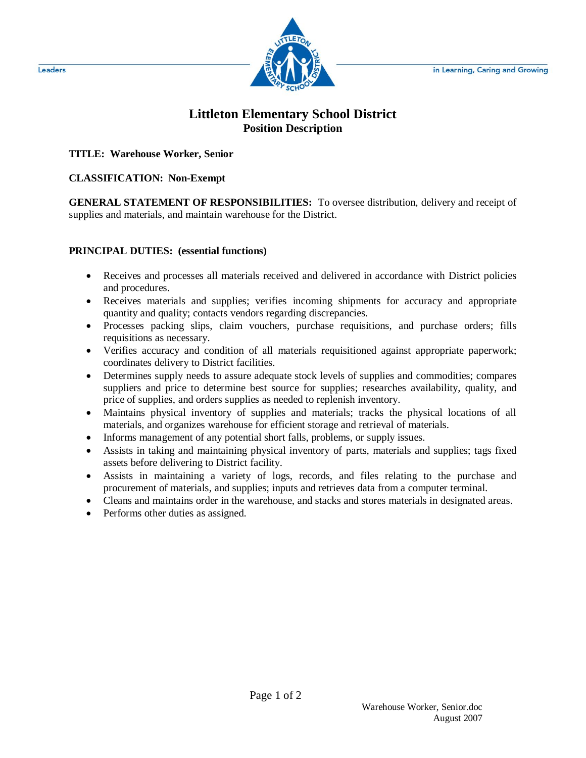

## **Littleton Elementary School District Position Description**

**TITLE: Warehouse Worker, Senior**

## **CLASSIFICATION: Non-Exempt**

**GENERAL STATEMENT OF RESPONSIBILITIES:** To oversee distribution, delivery and receipt of supplies and materials, and maintain warehouse for the District.

## **PRINCIPAL DUTIES: (essential functions)**

- Receives and processes all materials received and delivered in accordance with District policies and procedures.
- Receives materials and supplies; verifies incoming shipments for accuracy and appropriate quantity and quality; contacts vendors regarding discrepancies.
- Processes packing slips, claim vouchers, purchase requisitions, and purchase orders; fills requisitions as necessary.
- Verifies accuracy and condition of all materials requisitioned against appropriate paperwork; coordinates delivery to District facilities.
- Determines supply needs to assure adequate stock levels of supplies and commodities; compares suppliers and price to determine best source for supplies; researches availability, quality, and price of supplies, and orders supplies as needed to replenish inventory.
- Maintains physical inventory of supplies and materials; tracks the physical locations of all materials, and organizes warehouse for efficient storage and retrieval of materials.
- Informs management of any potential short falls, problems, or supply issues.
- Assists in taking and maintaining physical inventory of parts, materials and supplies; tags fixed assets before delivering to District facility.
- Assists in maintaining a variety of logs, records, and files relating to the purchase and procurement of materials, and supplies; inputs and retrieves data from a computer terminal.
- Cleans and maintains order in the warehouse, and stacks and stores materials in designated areas.
- Performs other duties as assigned.

Leaders